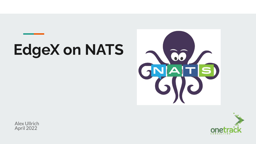# **EdgeX on NATS**



Alex Ullrich April 2022

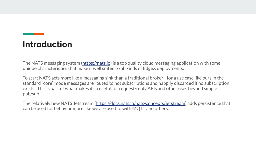## **Introduction**

The NATS messaging system (<https://nats.io>) is a top quality cloud messaging application with some unique characteristics that make it well suited to all kinds of EdgeX deployments.

To start NATS acts more like a messaging sink than a traditional broker - for a use case like ours in the standard "core" mode messages are routed to hot subscriptions and happily discarded if no subscription exists. This is part of what makes it so useful for request/reply APIs and other uses beyond simple pub/sub.

The relatively new NATS Jetstream [\(https://docs.nats.io/nats-concepts/jetstream\)](https://docs.nats.io/nats-concepts/jetstream) adds persistence that can be used for behavior more like we are used to with MQTT and others.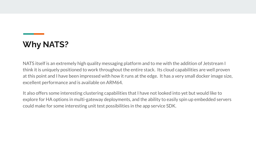# **Why NATS?**

NATS itself is an extremely high quality messaging platform and to me with the addition of Jetstream I think it is uniquely positioned to work throughout the entire stack. Its cloud capabilities are well proven at this point and I have been impressed with how it runs at the edge. It has a very small docker image size, excellent performance and is available on ARM64.

It also offers some interesting clustering capabilities that I have not looked into yet but would like to explore for HA options in multi-gateway deployments, and the ability to easily spin up embedded servers could make for some interesting unit test possibilities in the app service SDK.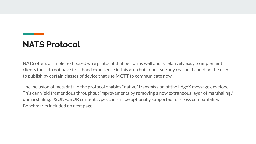## **NATS Protocol**

NATS offers a simple text based wire protocol that performs well and is relatively easy to implement clients for. I do not have first-hand experience in this area but I don't see any reason it could not be used to publish by certain classes of device that use MQTT to communicate now.

The inclusion of metadata in the protocol enables "native" transmission of the EdgeX message envelope. This can yield tremendous throughput improvements by removing a now extraneous layer of marshaling / unmarshaling. JSON/CBOR content types can still be optionally supported for cross compatibility. Benchmarks included on next page.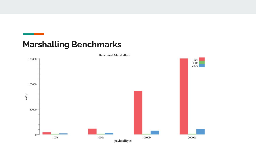## **Marshalling Benchmarks**



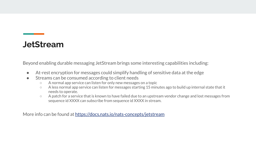#### **JetStream**

Beyond enabling durable messaging JetStream brings some interesting capabilities including:

- At-rest encryption for messages could simplify handling of sensitive data at the edge
- Streams can be consumed according to client needs
	- A normal app service can listen for only new messages on a topic
	- A less normal app service can listen for messages starting 15 minutes ago to build up internal state that it needs to operate.
	- A patch for a service that is known to have failed due to an upstream vendor change and lost messages from sequence id XXXX can subscribe from sequence id XXXX in stream.

More info can be found at<https://docs.nats.io/nats-concepts/jetstream>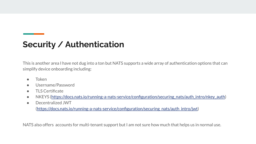## **Security / Authentication**

This is another area I have not dug into a ton but NATS supports a wide array of authentication options that can simplify device onboarding including:

- **Token**
- Username/Password
- TLS Certificate
- NKEYS (https://docs.nats.io/running-a-nats-service/configuration/securing nats/auth\_intro/nkey\_auth)
- Decentralized JWT

([https://docs.nats.io/running-a-nats-service/configuration/securing\\_nats/auth\\_intro/jwt\)](https://docs.nats.io/running-a-nats-service/configuration/securing_nats/auth_intro/jwt)

NATS also offers accounts for multi-tenant support but I am not sure how much that helps us in normal use.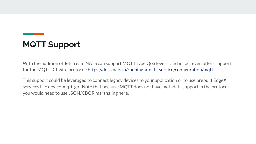# **MQTT Support**

With the addition of Jetstream NATS can support MQTT type QoS levels, and in fact even offers support for the MQTT 3.1 wire protocol: <https://docs.nats.io/running-a-nats-service/configuration/mqtt>

This support could be leveraged to connect legacy devices to your application or to use prebuilt EdgeX services like device-mqtt-go. Note that because MQTT does not have metadata support in the protocol you would need to use JSON/CBOR marshaling here.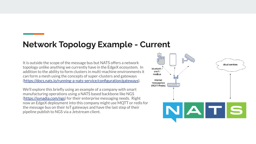#### **Network Topology Example - Current**

It is outside the scope of the message bus but NATS offers a network topology unlike anything we currently have in the EdgeX ecosystem. In addition to the ability to form clusters in multi-machine environments it can form a mesh using the concepts of super-clusters and gateways [\(https://docs.nats.io/running-a-nats-service/configuration/gateways](https://docs.nats.io/running-a-nats-service/configuration/gateways)).

We'll explore this briefly using an example of a company with smart manufacturing operations using a NATS based backbone like NGS [\(https://synadia.com/ngs](https://synadia.com/ngs)) for their enterprise messaging needs. Right now an EdgeX deployment into this company might use MQTT or redis for the message bus on their IoT gateways and have the last step of their pipeline publish to NGS via a Jetstream client.

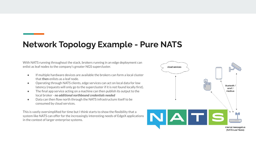## **Network Topology Example - Pure NATS**

With NATS running throughout the stack, brokers running in an edge deployment can enlist as leaf nodes to the company's greater NGS supercluster.

- If multiple hardware devices are available the brokers can form a local cluster that **then** enlists as a leaf node.
- Operating through NATS clients, edge services can act on local data for low latency (requests will only go to the supercluster if it is not found locally first).
- The final app service acting on a machine can then publish its output to the local broker - *no additional northbound credentials needed*
- Data can then flow north through the NATS infrastructure itself to be consumed by cloud services.

This is vastly oversimplified for time but I think starts to show the flexibility that a system like NATS can offer for the increasingly interesting needs of EdgeX applications in the context of larger enterprise systems.

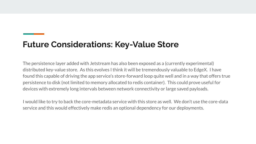#### **Future Considerations: Key-Value Store**

The persistence layer added with Jetstream has also been exposed as a (currently experimental) distributed key-value store. As this evolves I think it will be tremendously valuable to EdgeX. I have found this capable of driving the app service's store-forward loop quite well and in a way that offers true persistence to disk (not limited to memory allocated to redis container). This could prove useful for devices with extremely long intervals between network connectivity or large saved payloads.

I would like to try to back the core-metadata service with this store as well. We don't use the core-data service and this would effectively make redis an optional dependency for our deployments.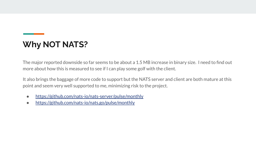# **Why NOT NATS?**

The major reported downside so far seems to be about a 1.5 MB increase in binary size. I need to find out more about how this is measured to see if I can play some golf with the client.

It also brings the baggage of more code to support but the NATS server and client are both mature at this point and seem very well supported to me, minimizing risk to the project.

- <https://github.com/nats-io/nats-server/pulse/monthly>
- <https://github.com/nats-io/nats.go/pulse/monthly>